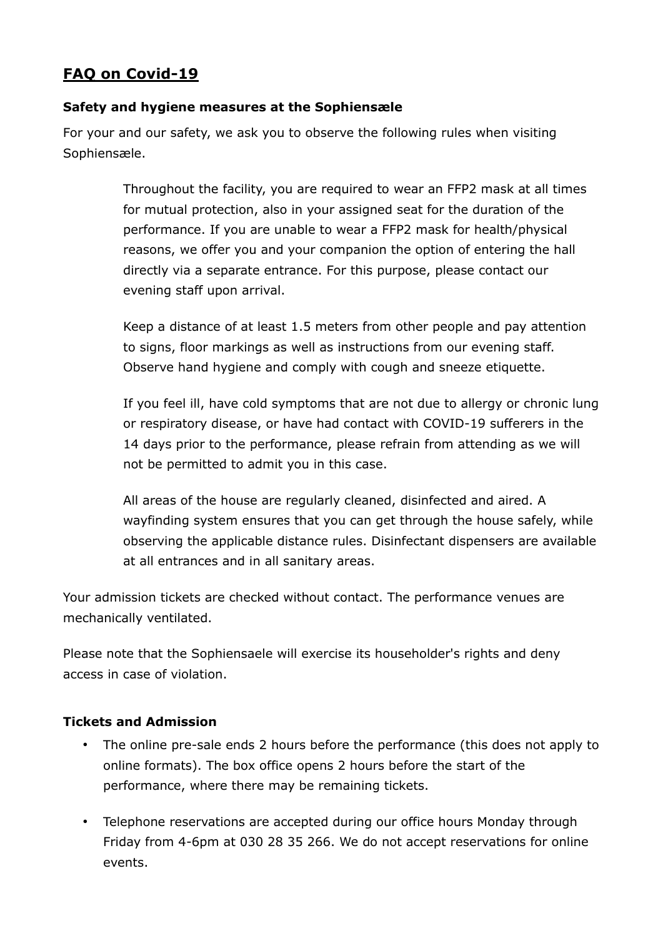## **FAQ on Covid-19**

## **Safety and hygiene measures at the Sophiensæle**

For your and our safety, we ask you to observe the following rules when visiting Sophiensæle.

> Throughout the facility, you are required to wear an FFP2 mask at all times for mutual protection, also in your assigned seat for the duration of the performance. If you are unable to wear a FFP2 mask for health/physical reasons, we offer you and your companion the option of entering the hall directly via a separate entrance. For this purpose, please contact our evening staff upon arrival.

> Keep a distance of at least 1.5 meters from other people and pay attention to signs, floor markings as well as instructions from our evening staff. Observe hand hygiene and comply with cough and sneeze etiquette.

If you feel ill, have cold symptoms that are not due to allergy or chronic lung or respiratory disease, or have had contact with COVID-19 sufferers in the 14 days prior to the performance, please refrain from attending as we will not be permitted to admit you in this case.

All areas of the house are regularly cleaned, disinfected and aired. A wayfinding system ensures that you can get through the house safely, while observing the applicable distance rules. Disinfectant dispensers are available at all entrances and in all sanitary areas.

Your admission tickets are checked without contact. The performance venues are mechanically ventilated.

Please note that the Sophiensaele will exercise its householder's rights and deny access in case of violation.

## **Tickets and Admission**

- The online pre-sale ends 2 hours before the performance (this does not apply to online formats). The box office opens 2 hours before the start of the performance, where there may be remaining tickets.
- Telephone reservations are accepted during our office hours Monday through Friday from 4-6pm at 030 28 35 266. We do not accept reservations for online events.